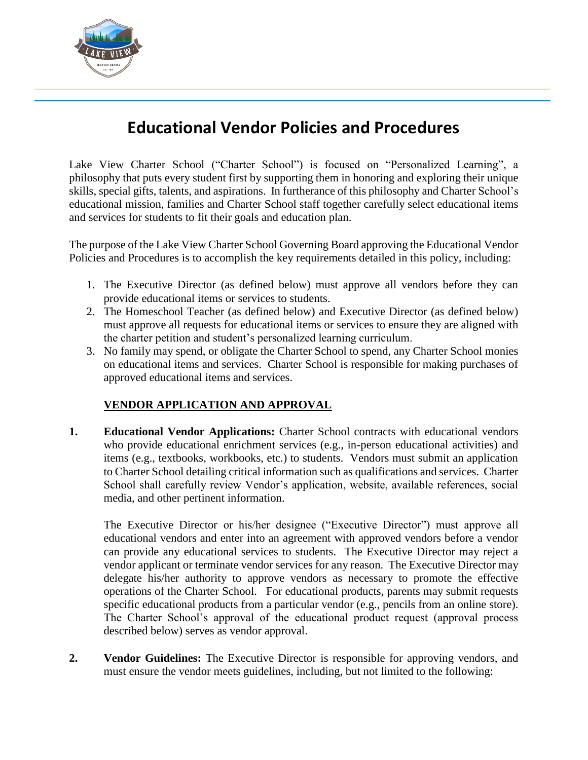

## **Educational Vendor Policies and Procedures**

Lake View Charter School ("Charter School") is focused on "Personalized Learning", a philosophy that puts every student first by supporting them in honoring and exploring their unique skills, special gifts, talents, and aspirations. In furtherance of this philosophy and Charter School's educational mission, families and Charter School staff together carefully select educational items and services for students to fit their goals and education plan.

The purpose of the Lake View Charter School Governing Board approving the Educational Vendor Policies and Procedures is to accomplish the key requirements detailed in this policy, including:

- 1. The Executive Director (as defined below) must approve all vendors before they can provide educational items or services to students.
- 2. The Homeschool Teacher (as defined below) and Executive Director (as defined below) must approve all requests for educational items or services to ensure they are aligned with the charter petition and student's personalized learning curriculum.
- 3. No family may spend, or obligate the Charter School to spend, any Charter School monies on educational items and services. Charter School is responsible for making purchases of approved educational items and services.

## **VENDOR APPLICATION AND APPROVAL**

**1. Educational Vendor Applications:** Charter School contracts with educational vendors who provide educational enrichment services (e.g., in-person educational activities) and items (e.g., textbooks, workbooks, etc.) to students. Vendors must submit an application to Charter School detailing critical information such as qualifications and services. Charter School shall carefully review Vendor's application, website, available references, social media, and other pertinent information.

The Executive Director or his/her designee ("Executive Director") must approve all educational vendors and enter into an agreement with approved vendors before a vendor can provide any educational services to students. The Executive Director may reject a vendor applicant or terminate vendor services for any reason. The Executive Director may delegate his/her authority to approve vendors as necessary to promote the effective operations of the Charter School. For educational products, parents may submit requests specific educational products from a particular vendor (e.g., pencils from an online store). The Charter School's approval of the educational product request (approval process described below) serves as vendor approval.

**2. Vendor Guidelines:** The Executive Director is responsible for approving vendors, and must ensure the vendor meets guidelines, including, but not limited to the following: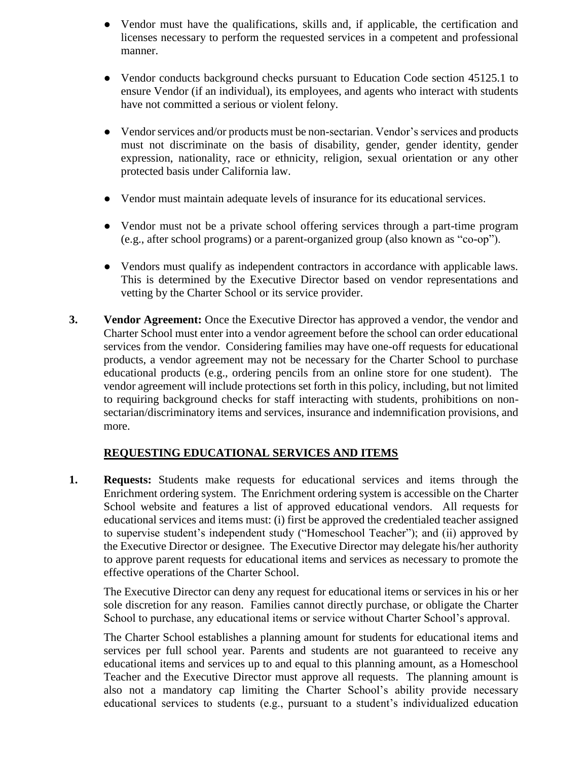- Vendor must have the qualifications, skills and, if applicable, the certification and licenses necessary to perform the requested services in a competent and professional manner.
- Vendor conducts background checks pursuant to Education Code section 45125.1 to ensure Vendor (if an individual), its employees, and agents who interact with students have not committed a serious or violent felony.
- Vendor services and/or products must be non-sectarian. Vendor's services and products must not discriminate on the basis of disability, gender, gender identity, gender expression, nationality, race or ethnicity, religion, sexual orientation or any other protected basis under California law.
- Vendor must maintain adequate levels of insurance for its educational services.
- Vendor must not be a private school offering services through a part-time program (e.g., after school programs) or a parent-organized group (also known as "co-op").
- Vendors must qualify as independent contractors in accordance with applicable laws. This is determined by the Executive Director based on vendor representations and vetting by the Charter School or its service provider.
- **3. Vendor Agreement:** Once the Executive Director has approved a vendor, the vendor and Charter School must enter into a vendor agreement before the school can order educational services from the vendor. Considering families may have one-off requests for educational products, a vendor agreement may not be necessary for the Charter School to purchase educational products (e.g., ordering pencils from an online store for one student). The vendor agreement will include protections set forth in this policy, including, but not limited to requiring background checks for staff interacting with students, prohibitions on nonsectarian/discriminatory items and services, insurance and indemnification provisions, and more.

## **REQUESTING EDUCATIONAL SERVICES AND ITEMS**

**1. Requests:** Students make requests for educational services and items through the Enrichment ordering system. The Enrichment ordering system is accessible on the Charter School website and features a list of approved educational vendors. All requests for educational services and items must: (i) first be approved the credentialed teacher assigned to supervise student's independent study ("Homeschool Teacher"); and (ii) approved by the Executive Director or designee. The Executive Director may delegate his/her authority to approve parent requests for educational items and services as necessary to promote the effective operations of the Charter School.

The Executive Director can deny any request for educational items or services in his or her sole discretion for any reason. Families cannot directly purchase, or obligate the Charter School to purchase, any educational items or service without Charter School's approval.

The Charter School establishes a planning amount for students for educational items and services per full school year. Parents and students are not guaranteed to receive any educational items and services up to and equal to this planning amount, as a Homeschool Teacher and the Executive Director must approve all requests. The planning amount is also not a mandatory cap limiting the Charter School's ability provide necessary educational services to students (e.g., pursuant to a student's individualized education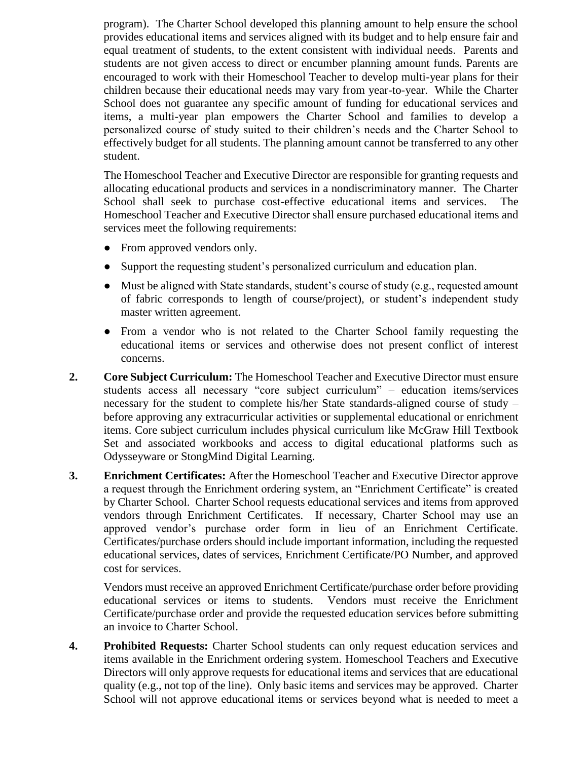program). The Charter School developed this planning amount to help ensure the school provides educational items and services aligned with its budget and to help ensure fair and equal treatment of students, to the extent consistent with individual needs. Parents and students are not given access to direct or encumber planning amount funds. Parents are encouraged to work with their Homeschool Teacher to develop multi-year plans for their children because their educational needs may vary from year-to-year. While the Charter School does not guarantee any specific amount of funding for educational services and items, a multi-year plan empowers the Charter School and families to develop a personalized course of study suited to their children's needs and the Charter School to effectively budget for all students. The planning amount cannot be transferred to any other student.

The Homeschool Teacher and Executive Director are responsible for granting requests and allocating educational products and services in a nondiscriminatory manner. The Charter School shall seek to purchase cost-effective educational items and services. The Homeschool Teacher and Executive Director shall ensure purchased educational items and services meet the following requirements:

- From approved vendors only.
- Support the requesting student's personalized curriculum and education plan.
- Must be aligned with State standards, student's course of study (e.g., requested amount of fabric corresponds to length of course/project), or student's independent study master written agreement.
- From a vendor who is not related to the Charter School family requesting the educational items or services and otherwise does not present conflict of interest concerns.
- **2. Core Subject Curriculum:** The Homeschool Teacher and Executive Director must ensure students access all necessary "core subject curriculum" – education items/services necessary for the student to complete his/her State standards-aligned course of study – before approving any extracurricular activities or supplemental educational or enrichment items. Core subject curriculum includes physical curriculum like McGraw Hill Textbook Set and associated workbooks and access to digital educational platforms such as Odysseyware or StongMind Digital Learning.
- **3. Enrichment Certificates:** After the Homeschool Teacher and Executive Director approve a request through the Enrichment ordering system, an "Enrichment Certificate" is created by Charter School. Charter School requests educational services and items from approved vendors through Enrichment Certificates. If necessary, Charter School may use an approved vendor's purchase order form in lieu of an Enrichment Certificate. Certificates/purchase orders should include important information, including the requested educational services, dates of services, Enrichment Certificate/PO Number, and approved cost for services.

Vendors must receive an approved Enrichment Certificate/purchase order before providing educational services or items to students. Vendors must receive the Enrichment Certificate/purchase order and provide the requested education services before submitting an invoice to Charter School.

**4. Prohibited Requests:** Charter School students can only request education services and items available in the Enrichment ordering system. Homeschool Teachers and Executive Directors will only approve requests for educational items and services that are educational quality (e.g., not top of the line). Only basic items and services may be approved. Charter School will not approve educational items or services beyond what is needed to meet a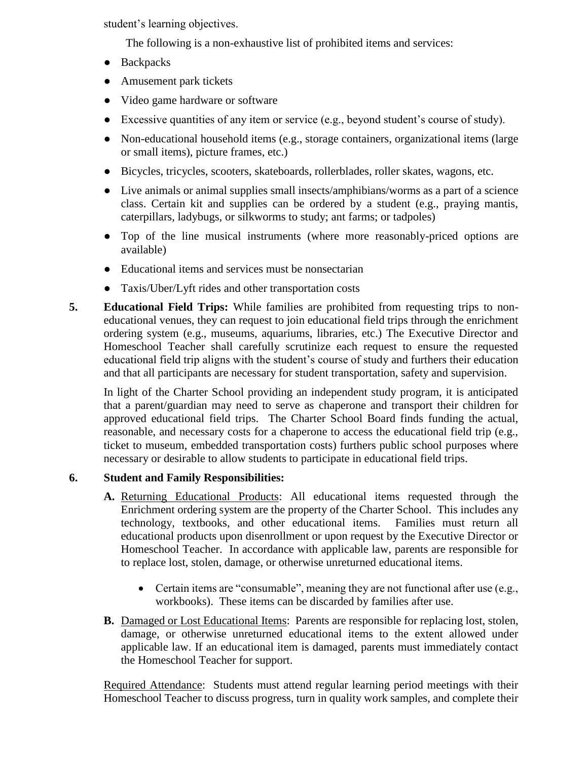student's learning objectives.

The following is a non-exhaustive list of prohibited items and services:

- Backpacks
- Amusement park tickets
- Video game hardware or software
- Excessive quantities of any item or service (e.g., beyond student's course of study).
- Non-educational household items (e.g., storage containers, organizational items (large or small items), picture frames, etc.)
- Bicycles, tricycles, scooters, skateboards, rollerblades, roller skates, wagons, etc.
- Live animals or animal supplies small insects/amphibians/worms as a part of a science class. Certain kit and supplies can be ordered by a student (e.g., praying mantis, caterpillars, ladybugs, or silkworms to study; ant farms; or tadpoles)
- Top of the line musical instruments (where more reasonably-priced options are available)
- Educational items and services must be nonsectarian
- Taxis/Uber/Lyft rides and other transportation costs
- **5. Educational Field Trips:** While families are prohibited from requesting trips to noneducational venues, they can request to join educational field trips through the enrichment ordering system (e.g., museums, aquariums, libraries, etc.) The Executive Director and Homeschool Teacher shall carefully scrutinize each request to ensure the requested educational field trip aligns with the student's course of study and furthers their education and that all participants are necessary for student transportation, safety and supervision.

In light of the Charter School providing an independent study program, it is anticipated that a parent/guardian may need to serve as chaperone and transport their children for approved educational field trips. The Charter School Board finds funding the actual, reasonable, and necessary costs for a chaperone to access the educational field trip (e.g., ticket to museum, embedded transportation costs) furthers public school purposes where necessary or desirable to allow students to participate in educational field trips.

## **6. Student and Family Responsibilities:**

- **A.** Returning Educational Products: All educational items requested through the Enrichment ordering system are the property of the Charter School. This includes any technology, textbooks, and other educational items. Families must return all educational products upon disenrollment or upon request by the Executive Director or Homeschool Teacher. In accordance with applicable law, parents are responsible for to replace lost, stolen, damage, or otherwise unreturned educational items.
	- Certain items are "consumable", meaning they are not functional after use (e.g., workbooks). These items can be discarded by families after use.
- **B.** Damaged or Lost Educational Items: Parents are responsible for replacing lost, stolen, damage, or otherwise unreturned educational items to the extent allowed under applicable law. If an educational item is damaged, parents must immediately contact the Homeschool Teacher for support.

Required Attendance: Students must attend regular learning period meetings with their Homeschool Teacher to discuss progress, turn in quality work samples, and complete their